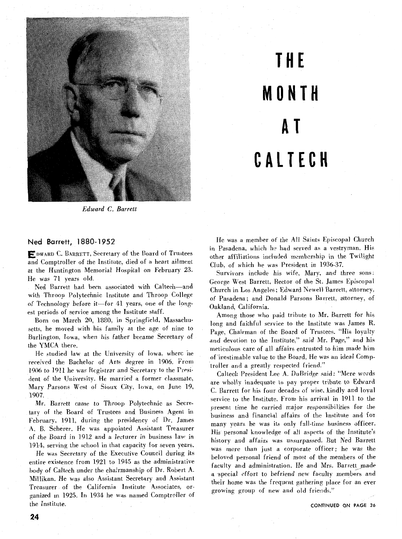

# **THE MONTH**  ΑT CALTECH

*Edward* **C.** *Barrett* 

#### **Ned Barrett, 1 880- 1952**

EDWARD **C.** BARRETT, Secretary of the Board of Trustees and Comptroller of the Institute, died of a heart ailment at the Huntington Memorial Hospital on February **23.**  He was 71 years old.

Ned Barrett had been associated with Caltech-and with Throop Polytechnic Institute and Throop College of Technology before it-for 41 years, one of the longest periods of service among the Institute staff.

Born on March 20, 1880, in Springfield, Massachusetts, he moved with his family at the age of nine to Burlington, Iowa, when his father became Secretary of the YMCA there.

He studied law at the University of Iowa. where he received the Bachelor of Arts degree in 1906. From 1906 to 1911 he was Registrar and Secretary to the President of the University. He married a former classmate, Mary Parsons West of Sioux City, Iowa, on June 19, 1907.

Mr. Barrett came to Throop Polytechnic as Secretary of the Board of Trustees and Business Ageni in February, 1911, during the presidency of Dr. James A. B. Scherer. He was appointed Assistant Treasurer of the Board in 1912 and a lecturer in business lav in 1914, serving the school in that capacity for seven years.

He was Secretary of the Executive Council during its entire existence from 1921 to 1945 as the administrative body of Caltech under the chairmanship of Dr. Robert A. Millikan. He was also Assistant Secretary and Assistant Treasurer of the California Institute Associates, organized in 1925. In 1934 he was named Comptroller of the Institute.

He was a member of the All Saints Episcopal Church in Pasadena, which he had served as a vestryman. His other affiliations included membership in the Twilight Club, of which he was President in 1936-37.

Survivors include his wife, Mary, and three sons: George West Barrett, Rector of the St. James Episcopal Church in Los Angeles; Edward Newell Barrett, aktorney, of Pasadena; and Donald Parsons Barrett, attorney, of Oakland, California.

Among those who paid tribute to Mr. Barrett for his long and faithful service to the Institute was James R. Page, Chairman of the Board of Trustees. "His loyalty and devotion to the Institute." said Mr. Page," and his meticulous care of all affairs entrusted to him made him of inestimable value to the Board. He was an ideal Comptroller and a greatly respected friend."

Caltech President Lee A. DuRridge said: "Mere wocds are wholly inadequate to pay proper tribute to Edward C. Barrett for his four decades of wise, kindly and loyal service to the Institute. From his arrival in 1911 to the present time he carried major responsibilities for the business and financial affairs of the Institute and for many years he was its only full-time business officer. His personal knowledge of all aspects of the Institute's history and affairs was unsurpassed. But Ned Barrett was more than just a corporate officer; he was the beloved personal friend of most of the members of the faculty and administration. He and Mrs. Barrett made a special effort to befriend new faculty members and their home was the frequent gathering place for an ever growing group of new and old friends."

**CONTINUED ON PAGE 26**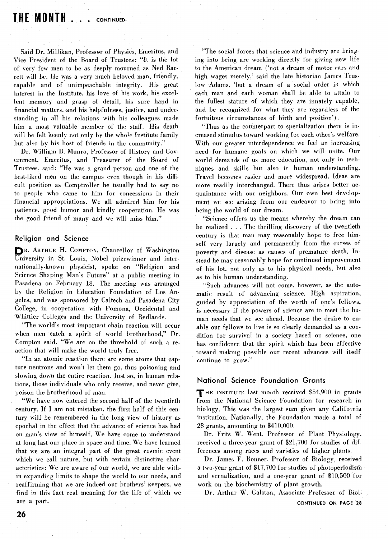### **THE MONTH** . **CONTINUED**

Said Dr. Millikan, Professor of Physics, Emeritus, and Vice President of the Board of Trustees: "It is the lot of very few men to be as deeply mourned as Ned Barrett will be. He was a very much beloved man, friendly, capable and of unimpeachable integrity. His great interest in the Institute, his love of his work, his excellent memory and grasp of detail, his sure hand in financial matters, and his helpfulness, justice, and understanding in all his relations with his colleagues made him a most valuable member of the staff. His death will be felt keenly not only by the whole Institute family but also by his host of friends in the community."

Dr. William B. Munro, Professor of History and Government, Emeritus, and Treasurer of the Board of Trustees, said: "He was a grand person and one of the best-liked men on the campus even though in his difficult position as Comptroller he usually had to say no to people who came to him for concessions in their financial appropriations. We all admired him for his patience, good humor and kindly cooperation. He was the good friend of many and we will miss him."

#### Religion and Science

**DR. ARTHUR** H. COMPTON, Chancellor of Washington University in St. Louis, Nobel prizewinner and internationally-known physicist, spoke on "Religion and Science Shaping Man's Future" at a public meeting in Pasadena on February 18. The meeting was arranged by the Religion in Education Foundation of Los Angeles, and was sponsored by Caltech and Pasadena City College, in cooperation with Pomona, Occidental and Whittier Colleges and the University of Redlands.

"The world's most important chain reaction will occur when men catch a spirit of world brotherhood," Dr. Compton said. "We are on the threshold of such a reaction that will make the world truly free.

"In an atomic reaction there are some atoms that capture neutrons and won't let them go, thus poisoning and slowing down the entire reaction. Just so, in human relations, those individuals who only receive, and never give, poison the brotherhood of man.

"We have now entered the second half of the twentieth century. If I am not mistaken, the first half of this century will be remembered in the long view of history as epochal in the effect that the advance of science has had on man's view of himself. We have come to understand at long last our place in space and time. We have learned that we are an integral part of the great cosmic event which we call nature, but with certain distinctive characteristics: We are aware of our world, we are able within expanding limits to shape the world to our needs, and reaffirming that we are indeed our brothers' keepers, we find in this fact real meaning for the life of which we are a part.

"The social forces that science and industry are bringing into being are working directly for giving new life to the American dream ('not a dream of motor cars and high wages merely,' said the late historian James Truslow Adams, 'but a dream of a social order in which each man and each woman shall be able to attain to the fullest stature of which they are innately capable, and be recognized for what they are regardless of the fortuitous circumstances of birth and position').

"Thus as the counterpart to specialization there is increased stimulus toward working for **each** other's welfare. With our greater interdependence we feel an increasing need for humane goals on which we will unite. Our world demands of us more education, not only in techniques and skills but also in human understanding. Travel becomes easier and more widespread. Ideas are more readily interchanged. There thus arises better acquaintance with our neighbors. Our own best development we see arising from our endeavor to bring into being the world of our dream.

"Science offers us the means whereby the dream can be realized . . . The thrilling discovery of the twentieth century is that man may reasonably hope to free himself very largely and permanently from the curses of poverty and disease as causes of premature death. Instead he may reasonably hope for continued improvement of his lot, not only as to his physical needs, but also as to his human understanding.

"Such advances will not come, however, as the automatic result of advancing science. High aspiration, guided by appreciation of the worth of one's fellows, is necessary if the powers of science are to meet the human needs that we see ahead. Because the desire to enable our fellows to live is so clearly demanded as a condition for survival in a society based on science, one has confidence that the spirit which has been effective toward making possible our recent advances will itself continue to grow."

#### National Science Foundation Grants

THE INSTITUTE last month received \$54,900 in grants from the National Science Foundation for research in biology. This was the largest sum given any California institution. Nationally, the Foundation made a total of 28 grants, amounting to \$410,000.

Dr. Frits W. Went, Professor of Plant Physiology, received a three-year grant of \$21,700 for studies of differences among races and varieties of higher plants.

Dr. James F. Bonner, Professor of Biology, received a two-year grant of  $$17,700$  for studies of photoperiodism and vernalization, and a one-year grant of  $$10,500$  for work on the biochemistry of plant growth.

Dr. Arthur W. Galston, Associate Professor of Eiol-CONTINUED ON PAGE 28